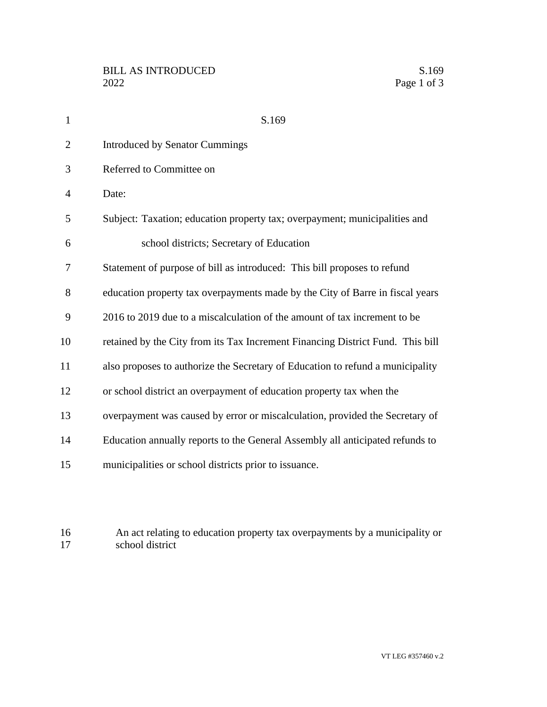| $\mathbf{1}$   | S.169                                                                          |
|----------------|--------------------------------------------------------------------------------|
| $\overline{2}$ | <b>Introduced by Senator Cummings</b>                                          |
| 3              | Referred to Committee on                                                       |
| 4              | Date:                                                                          |
| 5              | Subject: Taxation; education property tax; overpayment; municipalities and     |
| 6              | school districts; Secretary of Education                                       |
| 7              | Statement of purpose of bill as introduced: This bill proposes to refund       |
| 8              | education property tax overpayments made by the City of Barre in fiscal years  |
| 9              | 2016 to 2019 due to a miscalculation of the amount of tax increment to be      |
| 10             | retained by the City from its Tax Increment Financing District Fund. This bill |
| 11             | also proposes to authorize the Secretary of Education to refund a municipality |
| 12             | or school district an overpayment of education property tax when the           |
| 13             | overpayment was caused by error or miscalculation, provided the Secretary of   |
| 14             | Education annually reports to the General Assembly all anticipated refunds to  |
| 15             | municipalities or school districts prior to issuance.                          |
|                |                                                                                |

16 An act relating to education property tax overpayments by a municipality or school district school district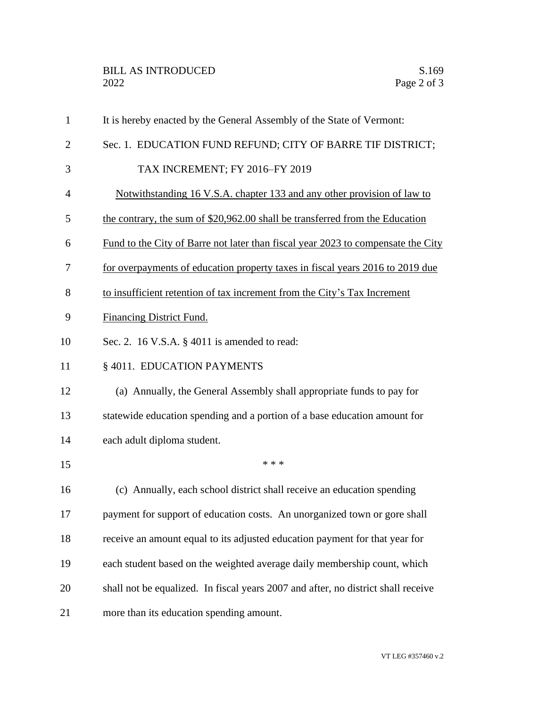| $\mathbf{1}$   | It is hereby enacted by the General Assembly of the State of Vermont:                   |
|----------------|-----------------------------------------------------------------------------------------|
| $\overline{2}$ | Sec. 1. EDUCATION FUND REFUND; CITY OF BARRE TIF DISTRICT;                              |
| 3              | TAX INCREMENT; FY 2016-FY 2019                                                          |
| $\overline{4}$ | Notwithstanding 16 V.S.A. chapter 133 and any other provision of law to                 |
| 5              | the contrary, the sum of \$20,962.00 shall be transferred from the Education            |
| 6              | <u>Fund to the City of Barre not later than fiscal year 2023 to compensate the City</u> |
| 7              | for overpayments of education property taxes in fiscal years 2016 to 2019 due           |
| 8              | to insufficient retention of tax increment from the City's Tax Increment                |
| 9              | <b>Financing District Fund.</b>                                                         |
| 10             | Sec. 2. 16 V.S.A. $\S$ 4011 is amended to read:                                         |
| 11             | § 4011. EDUCATION PAYMENTS                                                              |
| 12             | (a) Annually, the General Assembly shall appropriate funds to pay for                   |
| 13             | statewide education spending and a portion of a base education amount for               |
| 14             | each adult diploma student.                                                             |
| 15             | * * *                                                                                   |
| 16             | (c) Annually, each school district shall receive an education spending                  |
| 17             | payment for support of education costs. An unorganized town or gore shall               |
| 18             | receive an amount equal to its adjusted education payment for that year for             |
| 19             | each student based on the weighted average daily membership count, which                |
| 20             | shall not be equalized. In fiscal years 2007 and after, no district shall receive       |
| 21             | more than its education spending amount.                                                |